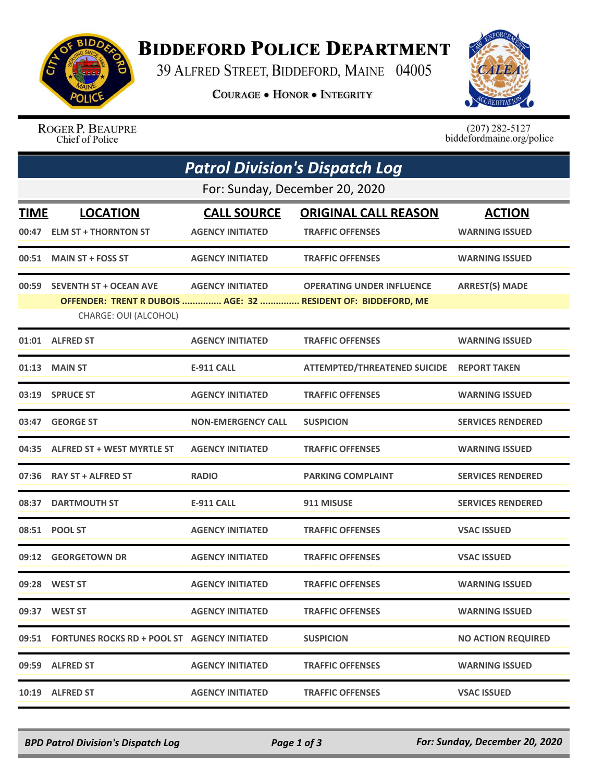

## **BIDDEFORD POLICE DEPARTMENT**

39 ALFRED STREET, BIDDEFORD, MAINE 04005

**COURAGE . HONOR . INTEGRITY** 



ROGER P. BEAUPRE Chief of Police

 $(207)$  282-5127<br>biddefordmaine.org/police

| <b>Patrol Division's Dispatch Log</b> |                                                    |                           |                                                               |                           |  |  |  |
|---------------------------------------|----------------------------------------------------|---------------------------|---------------------------------------------------------------|---------------------------|--|--|--|
| For: Sunday, December 20, 2020        |                                                    |                           |                                                               |                           |  |  |  |
| <b>TIME</b>                           | <b>LOCATION</b>                                    | <b>CALL SOURCE</b>        | <b>ORIGINAL CALL REASON</b>                                   | <b>ACTION</b>             |  |  |  |
| 00:47                                 | <b>ELM ST + THORNTON ST</b>                        | <b>AGENCY INITIATED</b>   | <b>TRAFFIC OFFENSES</b>                                       | <b>WARNING ISSUED</b>     |  |  |  |
| 00:51                                 | <b>MAIN ST + FOSS ST</b>                           | <b>AGENCY INITIATED</b>   | <b>TRAFFIC OFFENSES</b>                                       | <b>WARNING ISSUED</b>     |  |  |  |
| 00:59                                 | <b>SEVENTH ST + OCEAN AVE</b>                      | <b>AGENCY INITIATED</b>   | <b>OPERATING UNDER INFLUENCE</b>                              | <b>ARREST(S) MADE</b>     |  |  |  |
|                                       | CHARGE: OUI (ALCOHOL)                              |                           | OFFENDER: TRENT R DUBOIS  AGE: 32  RESIDENT OF: BIDDEFORD, ME |                           |  |  |  |
|                                       | 01:01 ALFRED ST                                    | <b>AGENCY INITIATED</b>   | <b>TRAFFIC OFFENSES</b>                                       | <b>WARNING ISSUED</b>     |  |  |  |
| 01:13                                 | <b>MAIN ST</b>                                     | <b>E-911 CALL</b>         | <b>ATTEMPTED/THREATENED SUICIDE</b>                           | <b>REPORT TAKEN</b>       |  |  |  |
|                                       | 03:19 SPRUCE ST                                    | <b>AGENCY INITIATED</b>   | <b>TRAFFIC OFFENSES</b>                                       | <b>WARNING ISSUED</b>     |  |  |  |
| 03:47                                 | <b>GEORGE ST</b>                                   | <b>NON-EMERGENCY CALL</b> | <b>SUSPICION</b>                                              | <b>SERVICES RENDERED</b>  |  |  |  |
| 04:35                                 | <b>ALFRED ST + WEST MYRTLE ST</b>                  | <b>AGENCY INITIATED</b>   | <b>TRAFFIC OFFENSES</b>                                       | <b>WARNING ISSUED</b>     |  |  |  |
|                                       | 07:36 RAY ST + ALFRED ST                           | <b>RADIO</b>              | <b>PARKING COMPLAINT</b>                                      | <b>SERVICES RENDERED</b>  |  |  |  |
| 08:37                                 | <b>DARTMOUTH ST</b>                                | <b>E-911 CALL</b>         | 911 MISUSE                                                    | <b>SERVICES RENDERED</b>  |  |  |  |
|                                       | 08:51 POOL ST                                      | <b>AGENCY INITIATED</b>   | <b>TRAFFIC OFFENSES</b>                                       | <b>VSAC ISSUED</b>        |  |  |  |
| 09:12                                 | <b>GEORGETOWN DR</b>                               | <b>AGENCY INITIATED</b>   | <b>TRAFFIC OFFENSES</b>                                       | <b>VSAC ISSUED</b>        |  |  |  |
|                                       | 09:28 WEST ST                                      | <b>AGENCY INITIATED</b>   | <b>TRAFFIC OFFENSES</b>                                       | <b>WARNING ISSUED</b>     |  |  |  |
|                                       | 09:37 WEST ST                                      | <b>AGENCY INITIATED</b>   | <b>TRAFFIC OFFENSES</b>                                       | <b>WARNING ISSUED</b>     |  |  |  |
|                                       | 09:51 FORTUNES ROCKS RD + POOL ST AGENCY INITIATED |                           | <b>SUSPICION</b>                                              | <b>NO ACTION REQUIRED</b> |  |  |  |
|                                       | 09:59 ALFRED ST                                    | <b>AGENCY INITIATED</b>   | <b>TRAFFIC OFFENSES</b>                                       | <b>WARNING ISSUED</b>     |  |  |  |
|                                       | 10:19 ALFRED ST                                    | <b>AGENCY INITIATED</b>   | <b>TRAFFIC OFFENSES</b>                                       | <b>VSAC ISSUED</b>        |  |  |  |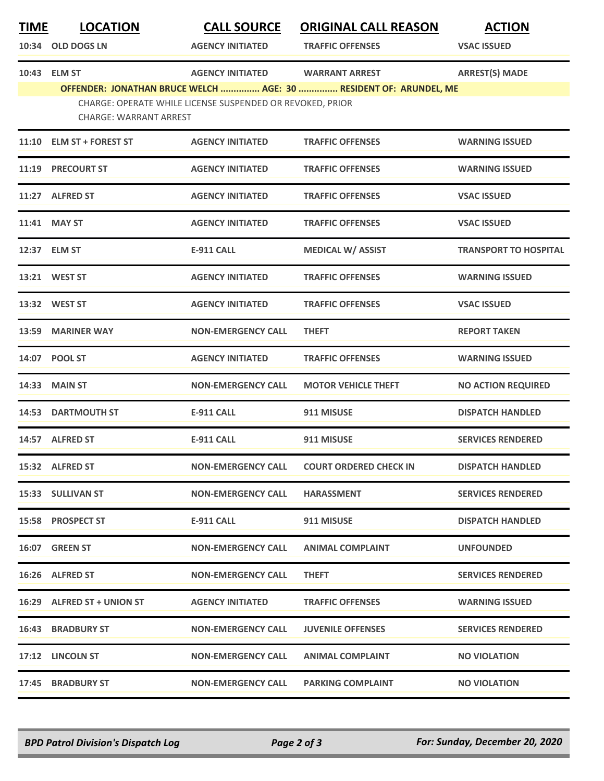| <u>TIME</u> | <b>LOCATION</b>               | <b>CALL SOURCE</b>                                        | <b>ORIGINAL CALL REASON</b>                                       | <b>ACTION</b>                |
|-------------|-------------------------------|-----------------------------------------------------------|-------------------------------------------------------------------|------------------------------|
| 10:34       | <b>OLD DOGS LN</b>            | <b>AGENCY INITIATED</b>                                   | <b>TRAFFIC OFFENSES</b>                                           | <b>VSAC ISSUED</b>           |
| 10:43       | <b>ELM ST</b>                 | <b>AGENCY INITIATED</b>                                   | <b>WARRANT ARREST</b>                                             | <b>ARREST(S) MADE</b>        |
|             | <b>CHARGE: WARRANT ARREST</b> | CHARGE: OPERATE WHILE LICENSE SUSPENDED OR REVOKED, PRIOR | OFFENDER: JONATHAN BRUCE WELCH  AGE: 30  RESIDENT OF: ARUNDEL, ME |                              |
|             | 11:10 ELM ST + FOREST ST      | <b>AGENCY INITIATED</b>                                   | <b>TRAFFIC OFFENSES</b>                                           | <b>WARNING ISSUED</b>        |
| 11:19       | <b>PRECOURT ST</b>            | <b>AGENCY INITIATED</b>                                   | <b>TRAFFIC OFFENSES</b>                                           | <b>WARNING ISSUED</b>        |
| 11:27       | <b>ALFRED ST</b>              | <b>AGENCY INITIATED</b>                                   | <b>TRAFFIC OFFENSES</b>                                           | <b>VSAC ISSUED</b>           |
|             | 11:41 MAY ST                  | <b>AGENCY INITIATED</b>                                   | <b>TRAFFIC OFFENSES</b>                                           | <b>VSAC ISSUED</b>           |
|             | 12:37 ELM ST                  | <b>E-911 CALL</b>                                         | <b>MEDICAL W/ ASSIST</b>                                          | <b>TRANSPORT TO HOSPITAL</b> |
|             | 13:21 WEST ST                 | <b>AGENCY INITIATED</b>                                   | <b>TRAFFIC OFFENSES</b>                                           | <b>WARNING ISSUED</b>        |
|             | 13:32 WEST ST                 | <b>AGENCY INITIATED</b>                                   | <b>TRAFFIC OFFENSES</b>                                           | <b>VSAC ISSUED</b>           |
| 13:59       | <b>MARINER WAY</b>            | <b>NON-EMERGENCY CALL</b>                                 | <b>THEFT</b>                                                      | <b>REPORT TAKEN</b>          |
| 14:07       | <b>POOL ST</b>                | <b>AGENCY INITIATED</b>                                   | <b>TRAFFIC OFFENSES</b>                                           | <b>WARNING ISSUED</b>        |
| 14:33       | <b>MAIN ST</b>                | <b>NON-EMERGENCY CALL</b>                                 | <b>MOTOR VEHICLE THEFT</b>                                        | <b>NO ACTION REQUIRED</b>    |
|             | <b>14:53 DARTMOUTH ST</b>     | <b>E-911 CALL</b>                                         | 911 MISUSE                                                        | <b>DISPATCH HANDLED</b>      |
| 14:57       | <b>ALFRED ST</b>              | E-911 CALL                                                | 911 MISUSE                                                        | <b>SERVICES RENDERED</b>     |
|             | 15:32 ALFRED ST               | <b>NON-EMERGENCY CALL</b>                                 | <b>COURT ORDERED CHECK IN</b>                                     | <b>DISPATCH HANDLED</b>      |
|             | 15:33 SULLIVAN ST             | <b>NON-EMERGENCY CALL</b>                                 | <b>HARASSMENT</b>                                                 | <b>SERVICES RENDERED</b>     |
|             | 15:58 PROSPECT ST             | E-911 CALL                                                | 911 MISUSE                                                        | <b>DISPATCH HANDLED</b>      |
|             | 16:07 GREEN ST                | <b>NON-EMERGENCY CALL</b>                                 | <b>ANIMAL COMPLAINT</b>                                           | <b>UNFOUNDED</b>             |
|             | 16:26 ALFRED ST               | <b>NON-EMERGENCY CALL</b>                                 | <b>THEFT</b>                                                      | <b>SERVICES RENDERED</b>     |
|             | 16:29 ALFRED ST + UNION ST    | <b>AGENCY INITIATED</b>                                   | <b>TRAFFIC OFFENSES</b>                                           | <b>WARNING ISSUED</b>        |
|             | <b>16:43 BRADBURY ST</b>      | <b>NON-EMERGENCY CALL</b>                                 | <b>JUVENILE OFFENSES</b>                                          | <b>SERVICES RENDERED</b>     |
|             | 17:12 LINCOLN ST              | <b>NON-EMERGENCY CALL</b>                                 | <b>ANIMAL COMPLAINT</b>                                           | <b>NO VIOLATION</b>          |
|             | 17:45 BRADBURY ST             | <b>NON-EMERGENCY CALL</b>                                 | <b>PARKING COMPLAINT</b>                                          | <b>NO VIOLATION</b>          |

*BPD Patrol Division's Dispatch Log Page 2 of 3 For: Sunday, December 20, 2020*